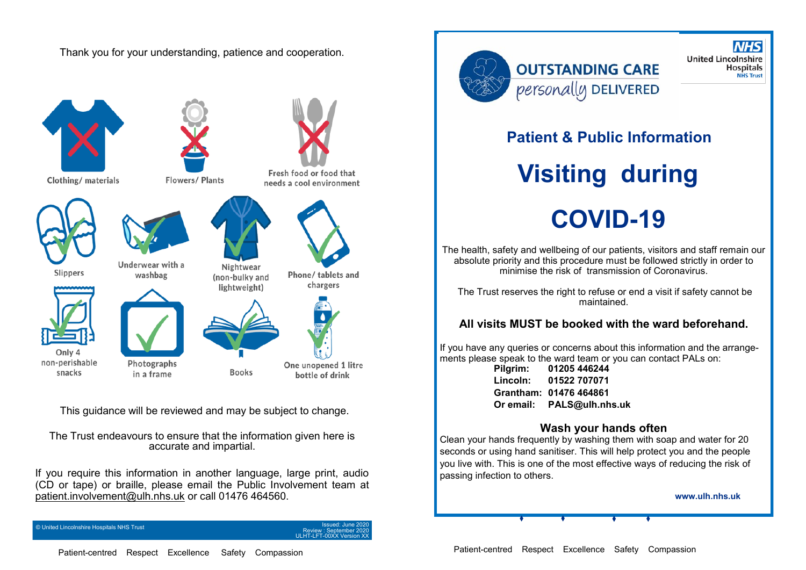Thank you for your understanding, patience and cooperation.



This guidance will be reviewed and may be subject to change.

The Trust endeavours to ensure that the information given here is accurate and impartial.

If you require this information in another language, large print, audio (CD or tape) or braille, please email the Public Involvement team at [patient.involvement@ulh.nhs.uk](mailto:patient.involvement@ulh.nhs.uk) or call 01476 464560.

© United Lincolnshire Hospitals NHS Trust

Review : September 2020 ULHT-LFT-00XX Version XX



## **OUTSTANDING CARE** personally DELIVERED

**NHS United Lincolnshire Hospitals NHS Trust** 

### **Patient & Public Information**

# **Visiting during COVID-19**

The health, safety and wellbeing of our patients, visitors and staff remain our absolute priority and this procedure must be followed strictly in order to minimise the risk of transmission of Coronavirus.

The Trust reserves the right to refuse or end a visit if safety cannot be maintained.

#### **All visits MUST be booked with the ward beforehand.**

If you have any queries or concerns about this information and the arrangements please speak to the ward team or you can contact PALs on:

**Pilgrim: 01205 446244 Lincoln: 01522 707071 Grantham: 01476 464861 Or email: PALS@ulh.nhs.uk**

#### **Wash your hands often**

Clean your hands frequently by washing them with soap and water for 20 seconds or using hand sanitiser. This will help protect you and the people you live with. This is one of the most effective ways of reducing the risk of passing infection to others.

**www.ulh.nhs.uk**

Patient-centred Respect Excellence Safety Compassion

Patient-centred Respect Excellence Safety Compassion